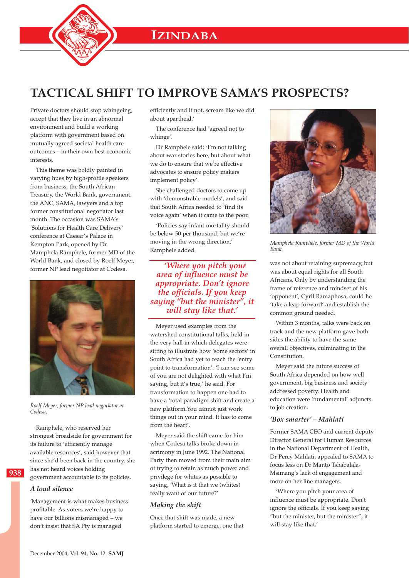

# **TACTICAL SHIFT TO IMPROVE SAMA'S PROSPECTS?**

Private doctors should stop whingeing, accept that they live in an abnormal environment and build a working platform with government based on mutually agreed societal health care outcomes – in their own best economic interests.

This theme was boldly painted in varying hues by high-profile speakers from business, the South African Treasury, the World Bank, government, the ANC, SAMA, lawyers and a top former constitutional negotiator last month. The occasion was SAMA's 'Solutions for Health Care Delivery' conference at Caesar's Palace in Kempton Park, opened by Dr Mamphela Ramphele, former MD of the World Bank, and closed by Roelf Meyer, former NP lead negotiator at Codesa.



*Roelf Meyer, former NP lead negotiator at Codesa.*

Ramphele, who reserved her strongest broadside for government for its failure to 'efficiently manage available resources', said however that since she'd been back in the country, she has not heard voices holding government accountable to its policies.

#### *A loud silence*

**938**

'Management is what makes business profitable. As voters we're happy to have our billions mismanaged – we don't insist that SA Pty is managed

efficiently and if not, scream like we did about apartheid.'

The conference had 'agreed not to whinge'.

Dr Ramphele said: 'I'm not talking about war stories here, but about what we do to ensure that we're effective advocates to ensure policy makers implement policy'.

She challenged doctors to come up with 'demonstrable models', and said that South Africa needed to 'find its voice again' when it came to the poor.

'Policies say infant mortality should be below 50 per thousand, but we're moving in the wrong direction,' Ramphele added.

*'Where you pitch your area of influence must be appropriate. Don't ignore the officials. If you keep saying "but the minister", it will stay like that.'*

Meyer used examples from the watershed constitutional talks, held in the very hall in which delegates were sitting to illustrate how 'some sectors' in South Africa had yet to reach the 'entry point to transformation'. 'I can see some of you are not delighted with what I'm saying, but it's true,' he said. For transformation to happen one had to have a 'total paradigm shift and create a new platform.You cannot just work things out in your mind. It has to come from the heart'.

Meyer said the shift came for him when Codesa talks broke down in acrimony in June 1992. The National Party then moved from their main aim of trying to retain as much power and privilege for whites as possible to saying, 'What is it that we (whites) really want of our future?'

#### *Making the shift*

Once that shift was made, a new platform started to emerge, one that



*Mamphela Ramphele, former MD of the World Bank.*

was not about retaining supremacy, but was about equal rights for all South Africans. Only by understanding the frame of reference and mindset of his 'opponent', Cyril Ramaphosa, could he 'take a leap forward' and establish the common ground needed.

Within 3 months, talks were back on track and the new platform gave both sides the ability to have the same overall objectives, culminating in the Constitution.

Meyer said the future success of South Africa depended on how well government, big business and society addressed poverty. Health and education were 'fundamental' adjuncts to job creation.

## *'Box smarter' – Mahlati*

Former SAMA CEO and current deputy Director General for Human Resources in the National Department of Health, Dr Percy Mahlati, appealed to SAMA to focus less on Dr Manto Tshabalala-Msimang's lack of engagement and more on her line managers.

'Where you pitch your area of influence must be appropriate. Don't ignore the officials. If you keep saying "but the minister, but the minister", it will stay like that.'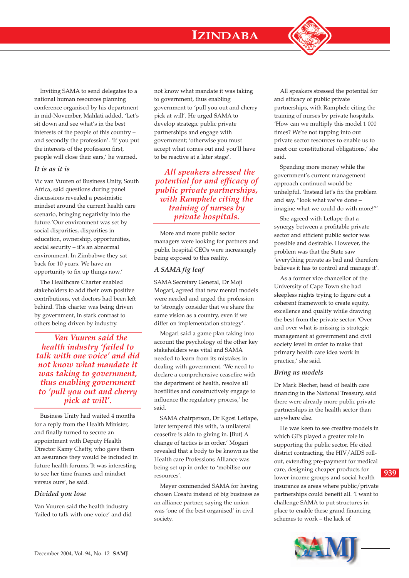

# *It is as it is*

Vic van Vuuren of Business Unity, South Africa, said questions during panel discussions revealed a pessimistic mindset around the current health care scenario, bringing negativity into the future.'Our environment was set by social disparities, disparities in education, ownership, opportunities, social security – it's an abnormal environment. In Zimbabwe they sat back for 10 years. We have an opportunity to fix up things now.'

The Healthcare Charter enabled stakeholders to add their own positive contributions, yet doctors had been left behind. This charter was being driven by government, in stark contrast to others being driven by industry.

*Van Vuuren said the health industry 'failed to talk with one voice' and did not know what mandate it was taking to government, thus enabling government to 'pull you out and cherry pick at will'.*

Business Unity had waited 4 months for a reply from the Health Minister, and finally turned to secure an appointment with Deputy Health Director Kamy Chetty, who gave them an assurance they would be included in future health forums.'It was interesting to see her time frames and mindset versus ours', he said.

#### *Divided you lose*

Van Vuuren said the health industry 'failed to talk with one voice' and did not know what mandate it was taking to government, thus enabling government to 'pull you out and cherry pick at will'. He urged SAMA to develop strategic public private partnerships and engage with government; 'otherwise you must accept what comes out and you'll have to be reactive at a later stage'.

*All speakers stressed the potential for and efficacy of public private partnerships, with Ramphele citing the training of nurses by private hospitals.*

More and more public sector managers were looking for partners and public hospital CEOs were increasingly being exposed to this reality.

# *A SAMA fig leaf*

SAMA Secretary General, Dr Moji Mogari, agreed that new mental models were needed and urged the profession to 'strongly consider that we share the same vision as a country, even if we differ on implementation strategy'.

Mogari said a game plan taking into account the psychology of the other key stakeholders was vital and SAMA needed to learn from its mistakes in dealing with government. 'We need to declare a comprehensive ceasefire with the department of health, resolve all hostilities and constructively engage to influence the regulatory process,' he said.

SAMA chairperson, Dr Kgosi Letlape, later tempered this with, 'a unilateral ceasefire is akin to giving in. [But] A change of tactics is in order.' Mogari revealed that a body to be known as the Health care Professions Alliance was being set up in order to 'mobilise our resources'.

Meyer commended SAMA for having chosen Cosatu instead of big business as an alliance partner, saying the union was 'one of the best organised' in civil society.

All speakers stressed the potential for and efficacy of public private partnerships, with Ramphele citing the training of nurses by private hospitals. 'How can we multiply this model 1 000 times? We're not tapping into our private sector resources to enable us to meet our constitutional obligations,' she said.

Spending more money while the government's current management approach continued would be unhelpful. 'Instead let's fix the problem and say, "look what we've done – imagine what we could do with more!"'

She agreed with Letlape that a synergy between a profitable private sector and efficient public sector was possible and desirable. However, the problem was that the State saw 'everything private as bad and therefore believes it has to control and manage it'.

As a former vice chancellor of the University of Cape Town she had sleepless nights trying to figure out a coherent framework to create equity, excellence and quality while drawing the best from the private sector. 'Over and over what is missing is strategic management at government and civil society level in order to make that primary health care idea work in practice,' she said.

#### *Bring us models*

Dr Mark Blecher, head of health care financing in the National Treasury, said there were already more public private partnerships in the health sector than anywhere else.

He was keen to see creative models in which GPs played a greater role in supporting the public sector. He cited district contracting, the HIV/AIDS rollout, extending pre-payment for medical care, designing cheaper products for lower income groups and social health insurance as areas where public/private partnerships could benefit all. 'I want to challenge SAMA to put structures in place to enable these grand financing schemes to work – the lack of



**939**